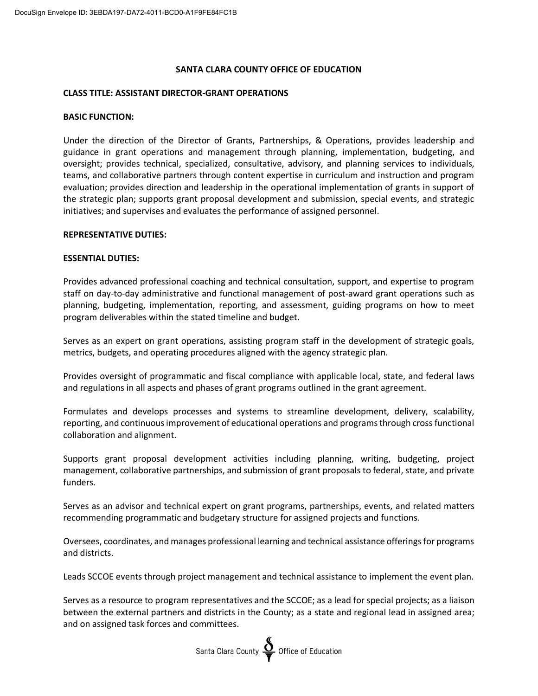# **SANTA CLARA COUNTY OFFICE OF EDUCATION**

## **CLASS TITLE: ASSISTANT DIRECTOR-GRANT OPERATIONS**

### **BASIC FUNCTION:**

Under the direction of the Director of Grants, Partnerships, & Operations, provides leadership and guidance in grant operations and management through planning, implementation, budgeting, and oversight; provides technical, specialized, consultative, advisory, and planning services to individuals, teams, and collaborative partners through content expertise in curriculum and instruction and program evaluation; provides direction and leadership in the operational implementation of grants in support of the strategic plan; supports grant proposal development and submission, special events, and strategic initiatives; and supervises and evaluates the performance of assigned personnel.

### **REPRESENTATIVE DUTIES:**

### **ESSENTIAL DUTIES:**

Provides advanced professional coaching and technical consultation, support, and expertise to program staff on day-to-day administrative and functional management of post-award grant operations such as planning, budgeting, implementation, reporting, and assessment, guiding programs on how to meet program deliverables within the stated timeline and budget.

Serves as an expert on grant operations, assisting program staff in the development of strategic goals, metrics, budgets, and operating procedures aligned with the agency strategic plan.

Provides oversight of programmatic and fiscal compliance with applicable local, state, and federal laws and regulations in all aspects and phases of grant programs outlined in the grant agreement.

Formulates and develops processes and systems to streamline development, delivery, scalability, reporting, and continuous improvement of educational operations and programsthrough cross functional collaboration and alignment.

Supports grant proposal development activities including planning, writing, budgeting, project management, collaborative partnerships, and submission of grant proposals to federal, state, and private funders.

Serves as an advisor and technical expert on grant programs, partnerships, events, and related matters recommending programmatic and budgetary structure for assigned projects and functions.

Oversees, coordinates, and manages professional learning and technical assistance offeringsfor programs and districts.

Leads SCCOE events through project management and technical assistance to implement the event plan.

Serves as a resource to program representatives and the SCCOE; as a lead for special projects; as a liaison between the external partners and districts in the County; as a state and regional lead in assigned area; and on assigned task forces and committees.

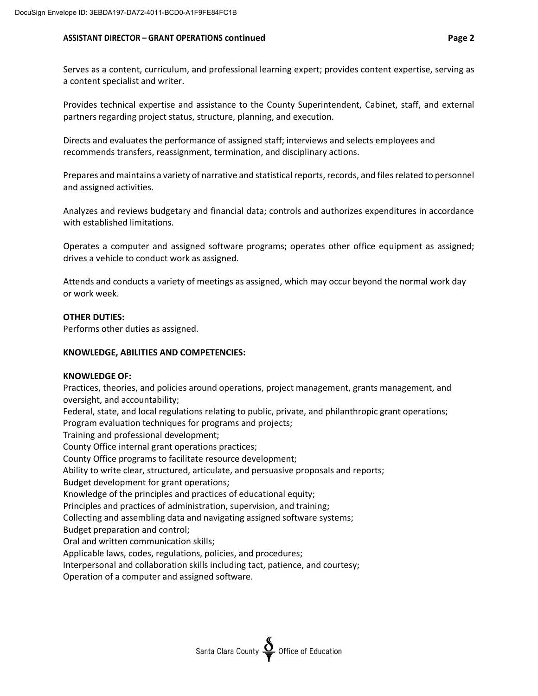### **ASSISTANT DIRECTOR – GRANT OPERATIONS continued Page 2**

Provides technical expertise and assistance to the County Superintendent, Cabinet, staff, and external partners regarding project status, structure, planning, and execution.

Directs and evaluates the performance of assigned staff; interviews and selects employees and recommends transfers, reassignment, termination, and disciplinary actions.

Prepares and maintains a variety of narrative and statistical reports, records, and filesrelated to personnel and assigned activities.

Analyzes and reviews budgetary and financial data; controls and authorizes expenditures in accordance with established limitations.

Operates a computer and assigned software programs; operates other office equipment as assigned; drives a vehicle to conduct work as assigned.

Attends and conducts a variety of meetings as assigned, which may occur beyond the normal work day or work week.

## **OTHER DUTIES:**

Performs other duties as assigned.

### **KNOWLEDGE, ABILITIES AND COMPETENCIES:**

### **KNOWLEDGE OF:**

Practices, theories, and policies around operations, project management, grants management, and oversight, and accountability;

Federal, state, and local regulations relating to public, private, and philanthropic grant operations; Program evaluation techniques for programs and projects;

Training and professional development;

County Office internal grant operations practices;

County Office programs to facilitate resource development;

Ability to write clear, structured, articulate, and persuasive proposals and reports;

Budget development for grant operations;

Knowledge of the principles and practices of educational equity;

Principles and practices of administration, supervision, and training;

Collecting and assembling data and navigating assigned software systems;

Budget preparation and control;

Oral and written communication skills;

Applicable laws, codes, regulations, policies, and procedures;

Interpersonal and collaboration skills including tact, patience, and courtesy;

Operation of a computer and assigned software.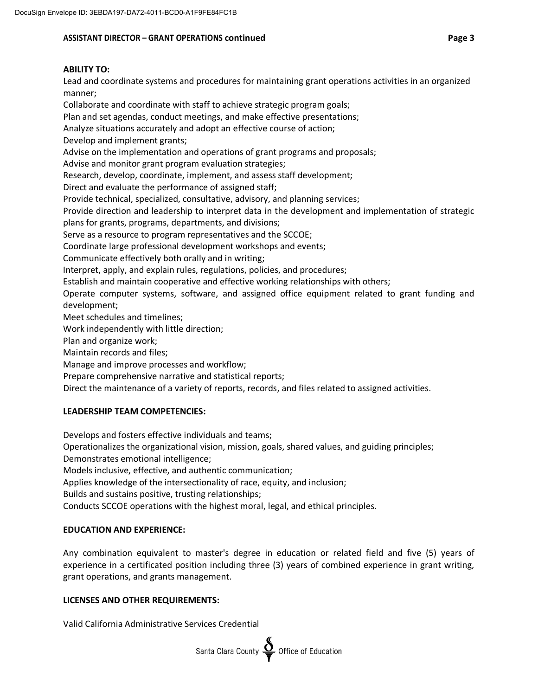# **ASSISTANT DIRECTOR – GRANT OPERATIONS continued Page 3**

Lead and coordinate systems and procedures for maintaining grant operations activities in an organized manner;

Collaborate and coordinate with staff to achieve strategic program goals;

Plan and set agendas, conduct meetings, and make effective presentations;

Analyze situations accurately and adopt an effective course of action;

Develop and implement grants;

Advise on the implementation and operations of grant programs and proposals;

Advise and monitor grant program evaluation strategies;

Research, develop, coordinate, implement, and assess staff development;

Direct and evaluate the performance of assigned staff;

Provide technical, specialized, consultative, advisory, and planning services;

Provide direction and leadership to interpret data in the development and implementation of strategic plans for grants, programs, departments, and divisions;

Serve as a resource to program representatives and the SCCOE;

Coordinate large professional development workshops and events;

Communicate effectively both orally and in writing;

Interpret, apply, and explain rules, regulations, policies, and procedures;

Establish and maintain cooperative and effective working relationships with others;

Operate computer systems, software, and assigned office equipment related to grant funding and development;

Meet schedules and timelines;

Work independently with little direction;

Plan and organize work;

Maintain records and files;

Manage and improve processes and workflow;

Prepare comprehensive narrative and statistical reports;

Direct the maintenance of a variety of reports, records, and files related to assigned activities.

# **LEADERSHIP TEAM COMPETENCIES:**

Develops and fosters effective individuals and teams;

Operationalizes the organizational vision, mission, goals, shared values, and guiding principles;

Demonstrates emotional intelligence;

Models inclusive, effective, and authentic communication;

Applies knowledge of the intersectionality of race, equity, and inclusion;

Builds and sustains positive, trusting relationships;

Conducts SCCOE operations with the highest moral, legal, and ethical principles.

# **EDUCATION AND EXPERIENCE:**

Any combination equivalent to master's degree in education or related field and five (5) years of experience in a certificated position including three (3) years of combined experience in grant writing, grant operations, and grants management.

## **LICENSES AND OTHER REQUIREMENTS:**

Valid California Administrative Services Credential